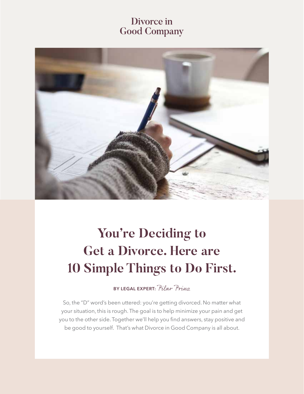## Divorce in **Good Company**



# **You're Deciding to Get a Divorce. Here are 10 Simple Things to Do First.**

**BY LEGAL EXPERT:** Pilar Prinz

So, the "D" word's been uttered: you're getting divorced. No matter what your situation, this is rough. The goal is to help minimize your pain and get you to the other side. Together we'll help you find answers, stay positive and be good to yourself. That's what Divorce in Good Company is all about.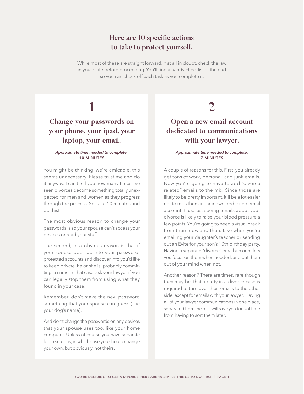### **Here are 10 specific actions to take to protect yourself.**

While most of these are straight forward, if at all in doubt, check the law in your state before proceeding. You'll find a handy checklist at the end so you can check off each task as you complete it.

# **1**

## **Change your passwords on your phone, your ipad, your laptop, your email.**

#### *Approximate time needed to complete:*  **10 MINUTES**

You might be thinking, we're amicable, this seems unnecessary. Please trust me and do it anyway. I can't tell you how many times I've seen divorces become something totally unexpected for men and women as they progress through the process. So, take 10 minutes and do this!

The most obvious reason to change your passwords is so your spouse can't access your devices or read your stuff.

The second, less obvious reason is that if your spouse does go into your passwordprotected accounts and discover info you'd like to keep private, he or she is probably committing a crime. In that case, ask your lawyer if you can legally stop them from using what they found in your case.

Remember, don't make the new password something that your spouse can guess (like your dog's name).

And don't change the passwords on any devices that your spouse uses too, like your home computer. Unless of course you have separate login screens, in which case you should change your own, but obviously, not theirs.

## **2**

## **Open a new email account dedicated to communications with your lawyer.**

### *Approximate time needed to complete:*  **7 MINUTES**

A couple of reasons for this. First, you already get tons of work, personal, and junk emails. Now you're going to have to add "divorce related" emails to the mix. Since those are likely to be pretty important, it'll be a lot easier not to miss them in their own dedicated email account. Plus, just seeing emails about your divorce is likely to raise your blood pressure a few points. You're going to need a visual break from them now and then. Like when you're emailing your daughter's teacher or sending out an Evite for your son's 10th birthday party. Having a separate "divorce" email account lets you focus on them when needed, and put them out of your mind when not.

Another reason? There are times, rare though they may be, that a party in a divorce case is required to turn over their emails to the other side, except for emails with your lawyer. Having all of your lawyer communications in one place, separated from the rest, will save you tons of time from having to sort them later.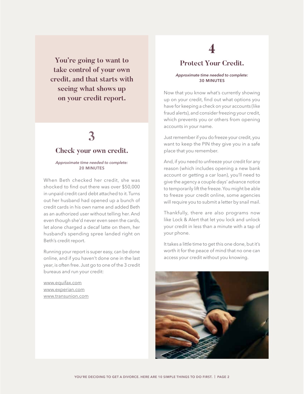**You're going to want to take control of your own credit, and that starts with seeing what shows up on your credit report.**

## **3 Check your own credit.**

#### *Approximate time needed to complete:*  **20 MINUTES**

When Beth checked her credit, she was shocked to find out there was over \$50,000 in unpaid credit card debt attached to it. Turns out her husband had opened up a bunch of credit cards in his own name and added Beth as an authorized user without telling her. And even though she'd never even seen the cards, let alone charged a decaf latte on them, her husband's spending spree landed right on Beth's credit report.

Running your report is super easy, can be done online, and if you haven't done one in the last year, is often free. Just go to one of the 3 credit bureaus and run your credit:

www.equifax.com www.experian.com www.transunion.com

## **4**

### **Protect Your Credit.**

#### *Approximate time needed to complete:*  **30 MINUTES**

Now that you know what's currently showing up on your credit, find out what options you have for keeping a check on your accounts (like fraud alerts), and consider freezing your credit, which prevents you or others from opening accounts in your name.

Just remember if you do freeze your credit, you want to keep the PIN they give you in a safe place that you remember.

And, if you need to unfreeze your credit for any reason (which includes opening a new bank account or getting a car loan), you'll need to give the agency a couple days' advance notice to temporarily lift the freeze. You might be able to freeze your credit online, some agencies will require you to submit a letter by snail mail.

Thankfully, there are also programs now like Lock & Alert that let you lock and unlock your credit in less than a minute with a tap of your phone.

It takes a little time to get this one done, but it's worth it for the peace of mind that no one can access your credit without you knowing.

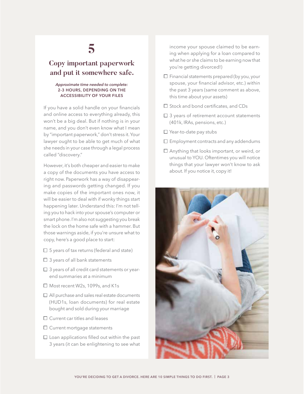### **Copy important paperwork and put it somewhere safe.**

#### *Approximate time needed to complete:*  **2-3 HOURS, DEPENDING ON THE ACCESSIBILITY OF YOUR FILES**

If you have a solid handle on your financials and online access to everything already, this won't be a big deal. But if nothing is in your name, and you don't even know what I mean by "important paperwork," don't stress it. Your lawyer ought to be able to get much of what she needs in your case through a legal process called "discovery."

However, it's both cheaper and easier to make a copy of the documents you have access to right now. Paperwork has a way of disappearing and passwords getting changed. If you make copies of the important ones now, it will be easier to deal with if wonky things start happening later. Understand this: I'm not telling you to hack into your spouse's computer or smart phone. I'm also not suggesting you break the lock on the home safe with a hammer. But those warnings aside, if you're unsure what to copy, here's a good place to start:

- $\Box$  5 years of tax returns (federal and state)
- $\square$  3 years of all bank statements
- $\square$  3 years of all credit card statements or yearend summaries at a minimum
- □ Most recent W2s, 1099s, and K1s
- □ All purchase and sales real estate documents (HUD1s, loan documents) for real estate bought and sold during your marriage
- $\square$  Current car titles and leases
- □ Current mortgage statements
- $\square$  Loan applications filled out within the past 3 years (it can be enlightening to see what

income your spouse claimed to be earning when applying for a loan compared to what he or she claims to be earning now that you're getting divorced!)

- $\square$  Financial statements prepared (by you, your spouse, your financial advisor, etc.) within the past 3 years (same comment as above, this time about your assets)
- $\square$  Stock and bond certificates, and CDs
- $\Box$  3 years of retirement account statements (401k, IRAs, pensions, etc.)
- $\square$  Year-to-date pay stubs
- $\square$  Employment contracts and any addendums
- Anything that looks important, or weird, or unusual to YOU. Oftentimes you will notice things that your lawyer won't know to ask about. If you notice it, copy it!

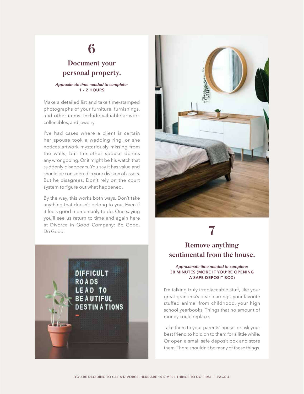### **Document your personal property.**

#### *Approximate time needed to complete:*  **1 - 2 HOURS**

Make a detailed list and take time-stamped photographs of your furniture, furnishings, and other items. Include valuable artwork collectibles, and jewelry.

I've had cases where a client is certain her spouse took a wedding ring, or she notices artwork mysteriously missing from the walls, but the other spouse denies any wrongdoing. Or it might be his watch that suddenly disappears. You say it has value and should be considered in your division of assets. But he disagrees. Don't rely on the court system to figure out what happened.

By the way, this works both ways. Don't take anything that doesn't belong to you. Even if it feels good momentarily to do. One saying you'll see us return to time and again here at Divorce in Good Company: Be Good. at Divorce in Good Company. Be Good.<br>Do Good.





### **Remove anything sentimental from the house.**

#### *Approximate time needed to complete:*  **30 MINUTES (MORE IF YOU'RE OPENING A SAFE DEPOSIT BOX)**

I'm talking truly irreplaceable stuff, like your great-grandma's pearl earrings, your favorite stuffed animal from childhood, your high school yearbooks. Things that no amount of money could replace.

Take them to your parents' house, or ask your best friend to hold on to them for a little while. Or open a small safe deposit box and store them. There shouldn't be many of these things.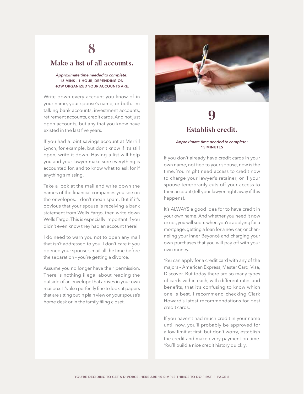### **Make a list of all accounts.**

### *Approximate time needed to complete:*  **15 MINS – 1 HOUR, DEPENDING ON HOW ORGANIZED YOUR ACCOUNTS ARE.**

Write down every account you know of in your name, your spouse's name, or both. I'm talking bank accounts, investment accounts, retirement accounts, credit cards. And not just open accounts, but any that you know have existed in the last five years.

If you had a joint savings account at Merrill Lynch, for example, but don't know if it's still open, write it down. Having a list will help you and your lawyer make sure everything is accounted for, and to know what to ask for if anything's missing.

Take a look at the mail and write down the names of the financial companies you see on the envelopes. I don't mean spam. But if it's obvious that your spouse is receiving a bank statement from Wells Fargo, then write down Wells Fargo. This is especially important if you didn't even know they had an account there!

I do need to warn you not to open any mail that isn't addressed to you. I don't care if you opened your spouse's mail all the time before the separation - you're getting a divorce.

Assume you no longer have their permission. There is nothing illegal about reading the outside of an envelope that arrives in your own mailbox. It's also perfectly fine to look at papers that are sitting out in plain view on your spouse's home desk or in the family filing closet.



## **9 Establish credit.**

### *Approximate time needed to complete:*  **15 MINUTES**

If you don't already have credit cards in your own name, not tied to your spouse, now is the time. You might need access to credit now to charge your lawyer's retainer, or if your spouse temporarily cuts off your access to their account (tell your lawyer right away if this happens).

It's ALWAYS a good idea for to have credit in your own name. And whether you need it now or not, you will soon: when you're applying for a mortgage, getting a loan for a new car, or channeling your inner Beyoncé and charging your own purchases that you will pay off with your own money.

You can apply for a credit card with any of the majors – American Express, Master Card, Visa, Discover. But today there are so many types of cards within each, with different rates and benefits, that it's confusing to know which one is best. I recommend checking Clark Howard's latest recommendations for best credit cards.

If you haven't had much credit in your name until now, you'll probably be approved for a low limit at first, but don't worry, establish the credit and make every payment on time. You'll build a nice credit history quickly.